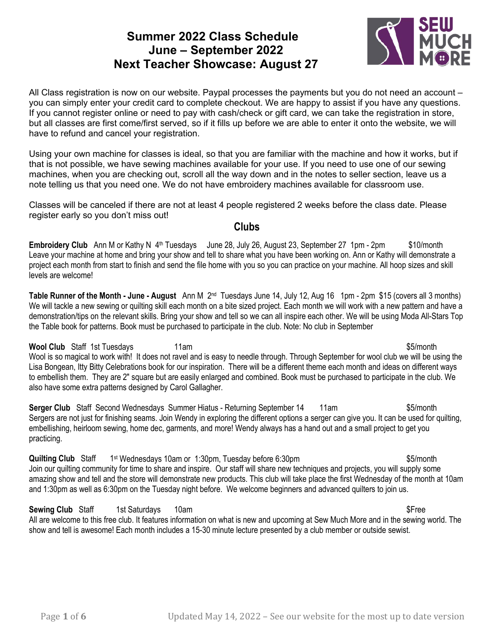# **Summer 2022 Class Schedule June – September 2022 Next Teacher Showcase: August 27**



All Class registration is now on our website. Paypal processes the payments but you do not need an account – you can simply enter your credit card to complete checkout. We are happy to assist if you have any questions. If you cannot register online or need to pay with cash/check or gift card, we can take the registration in store, but all classes are first come/first served, so if it fills up before we are able to enter it onto the website, we will have to refund and cancel your registration.

Using your own machine for classes is ideal, so that you are familiar with the machine and how it works, but if that is not possible, we have sewing machines available for your use. If you need to use one of our sewing machines, when you are checking out, scroll all the way down and in the notes to seller section, leave us a note telling us that you need one. We do not have embroidery machines available for classroom use.

Classes will be canceled if there are not at least 4 people registered 2 weeks before the class date. Please register early so you don't miss out!

#### **Clubs**

**Embroidery Club** Ann M or Kathy N 4<sup>th</sup> Tuesdays June 28, July 26, August 23, September 27 1pm - 2pm \$10/month Leave your machine at home and bring your show and tell to share what you have been working on. Ann or Kathy will demonstrate a project each month from start to finish and send the file home with you so you can practice on your machine. All hoop sizes and skill levels are welcome!

**Table Runner of the Month - June - August** Ann M 2nd Tuesdays June 14, July 12, Aug 16 1pm - 2pm \$15 (covers all 3 months) We will tackle a new sewing or quilting skill each month on a bite sized project. Each month we will work with a new pattern and have a demonstration/tips on the relevant skills. Bring your show and tell so we can all inspire each other. We will be using Moda All-Stars Top the Table book for patterns. Book must be purchased to participate in the club. Note: No club in September

**Wool Club** Staff 1st Tuesdays 11am 11am **11am 11am** 55/month Wool is so magical to work with! It does not ravel and is easy to needle through. Through September for wool club we will be using the Lisa Bongean, Itty Bitty Celebrations book for our inspiration. There will be a different theme each month and ideas on different ways to embellish them. They are 2" square but are easily enlarged and combined. Book must be purchased to participate in the club. We also have some extra patterns designed by Carol Gallagher.

**Serger Club** Staff Second Wednesdays Summer Hiatus - Returning September 14 11am \$5/month Sergers are not just for finishing seams. Join Wendy in exploring the different options a serger can give you. It can be used for quilting, embellishing, heirloom sewing, home dec, garments, and more! Wendy always has a hand out and a small project to get you practicing.

**Quilting Club** Staff 1<sup>st</sup> Wednesdays 10am or 1:30pm, Tuesday before 6:30pm \$5/month Join our quilting community for time to share and inspire. Our staff will share new techniques and projects, you will supply some amazing show and tell and the store will demonstrate new products. This club will take place the first Wednesday of the month at 10am and 1:30pm as well as 6:30pm on the Tuesday night before. We welcome beginners and advanced quilters to join us.

#### **Sewing Club** Staff 1st Saturdays 10am **1999** 10am **5 and 5 and 5 and 5 and 5 and 5 and 5 and 5 and 5 and 5 and 5 and 5 and 5 and 5 and 5 and 5 and 5 and 5 and 5 and 5 and 5 and 5 and 5 and 5 and 5 and 5 and 5 and 5 and 5**

All are welcome to this free club. It features information on what is new and upcoming at Sew Much More and in the sewing world. The show and tell is awesome! Each month includes a 15-30 minute lecture presented by a club member or outside sewist.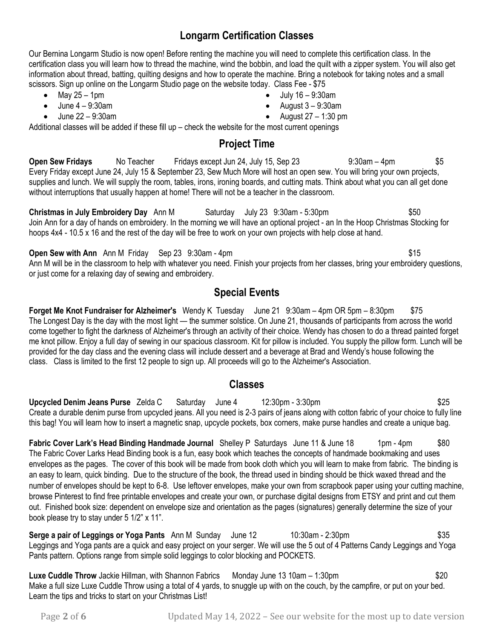## **Longarm Certification Classes**

Our Bernina Longarm Studio is now open! Before renting the machine you will need to complete this certification class. In the certification class you will learn how to thread the machine, wind the bobbin, and load the quilt with a zipper system. You will also get information about thread, batting, quilting designs and how to operate the machine. Bring a notebook for taking notes and a small scissors. Sign up online on the Longarm Studio page on the website today. Class Fee - \$75

- May  $25 1$ pm
- June 4 9:30am
- June 22 9:30am
- July 16 9:30am
- August  $3 9:30$ am
- August  $27 1:30$  pm

Additional classes will be added if these fill up – check the website for the most current openings

## **Project Time**

**Open Sew Fridays** No Teacher Fridays except Jun 24, July 15, Sep 23 9:30am – 4pm \$5 Every Friday except June 24, July 15 & September 23, Sew Much More will host an open sew. You will bring your own projects, supplies and lunch. We will supply the room, tables, irons, ironing boards, and cutting mats. Think about what you can all get done without interruptions that usually happen at home! There will not be a teacher in the classroom.

**Christmas in July Embroidery Day** Ann M Saturday July 23 9:30am - 5:30pm \$50 Join Ann for a day of hands on embroidery. In the morning we will have an optional project - an In the Hoop Christmas Stocking for hoops 4x4 - 10.5 x 16 and the rest of the day will be free to work on your own projects with help close at hand.

**Open Sew with Ann** Ann M Friday Sep 23 9:30am - 4pm  $$15$ Ann M will be in the classroom to help with whatever you need. Finish your projects from her classes, bring your embroidery questions, or just come for a relaxing day of sewing and embroidery.

# **Special Events**

**Forget Me Knot Fundraiser for Alzheimer's** Wendy K Tuesday June 21 9:30am – 4pm OR 5pm – 8:30pm \$75 The Longest Day is the day with the most light — the summer solstice. On June 21, thousands of participants from across the world come together to fight the darkness of Alzheimer's through an activity of their choice. Wendy has chosen to do a thread painted forget me knot pillow. Enjoy a full day of sewing in our spacious classroom. Kit for pillow is included. You supply the pillow form. Lunch will be provided for the day class and the evening class will include dessert and a beverage at Brad and Wendy's house following the class. Class is limited to the first 12 people to sign up. All proceeds will go to the Alzheimer's Association.

#### **Classes**

**Upcycled Denim Jeans Purse** Zelda C Saturday June 4 12:30pm - 3:30pm \$25 Create a durable denim purse from upcycled jeans. All you need is 2-3 pairs of jeans along with cotton fabric of your choice to fully line this bag! You will learn how to insert a magnetic snap, upcycle pockets, box corners, make purse handles and create a unique bag.

**Fabric Cover Lark's Head Binding Handmade Journal** Shelley P Saturdays June 11 & June 18 1pm - 4pm \$80 The Fabric Cover Larks Head Binding book is a fun, easy book which teaches the concepts of handmade bookmaking and uses envelopes as the pages. The cover of this book will be made from book cloth which you will learn to make from fabric. The binding is an easy to learn, quick binding. Due to the structure of the book, the thread used in binding should be thick waxed thread and the number of envelopes should be kept to 6-8. Use leftover envelopes, make your own from scrapbook paper using your cutting machine, browse Pinterest to find free printable envelopes and create your own, or purchase digital designs from ETSY and print and cut them out. Finished book size: dependent on envelope size and orientation as the pages (signatures) generally determine the size of your book please try to stay under 5 1/2" x 11".

**Serge a pair of Leggings or Yoga Pants** Ann M Sunday June 12 10:30am - 2:30pm **\$35** Leggings and Yoga pants are a quick and easy project on your serger. We will use the 5 out of 4 Patterns Candy Leggings and Yoga Pants pattern. Options range from simple solid leggings to color blocking and POCKETS.

**Luxe Cuddle Throw** Jackie Hillman, with Shannon Fabrics Monday June 13 10am – 1:30pm \$20 Make a full size Luxe Cuddle Throw using a total of 4 yards, to snuggle up with on the couch, by the campfire, or put on your bed. Learn the tips and tricks to start on your Christmas List!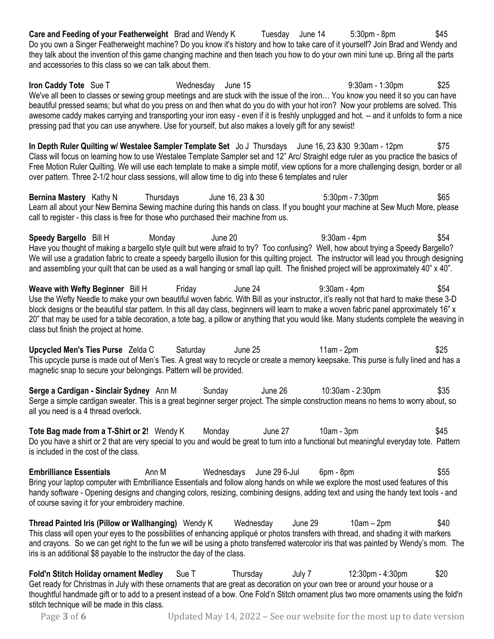**Care and Feeding of your Featherweight** Brad and Wendy K Tuesday June 14 5:30pm - 8pm \$45 Do you own a Singer Featherweight machine? Do you know it's history and how to take care of it yourself? Join Brad and Wendy and they talk about the invention of this game changing machine and then teach you how to do your own mini tune up. Bring all the parts and accessories to this class so we can talk about them.

**Iron Caddy Tote** Sue T **Mednesday June 15 11 12 130am - 1:30pm** \$25 We've all been to classes or sewing group meetings and are stuck with the issue of the iron... You know you need it so you can have beautiful pressed seams; but what do you press on and then what do you do with your hot iron? Now your problems are solved. This awesome caddy makes carrying and transporting your iron easy - even if it is freshly unplugged and hot. -- and it unfolds to form a nice pressing pad that you can use anywhere. Use for yourself, but also makes a lovely gift for any sewist!

**In Depth Ruler Quilting w/ Westalee Sampler Template Set** Jo J Thursdays June 16, 23 &30 9:30am - 12pm \$75 Class will focus on learning how to use Westalee Template Sampler set and 12" Arc/ Straight edge ruler as you practice the basics of Free Motion Ruler Quilting. We will use each template to make a simple motif, view options for a more challenging design, border or all over pattern. Three 2-1/2 hour class sessions, will allow time to dig into these 6 templates and ruler

**Bernina Mastery** Kathy N Thursdays June 16, 23 & 30 5:30pm - 7:30pm 565 Learn all about your New Bernina Sewing machine during this hands on class. If you bought your machine at Sew Much More, please call to register - this class is free for those who purchased their machine from us.

**Speedy Bargello** Bill H Monday June 20 9:30am - 4pm \$54 Have you thought of making a bargello style quilt but were afraid to try? Too confusing? Well, how about trying a Speedy Bargello? We will use a gradation fabric to create a speedy bargello illusion for this quilting project. The instructor will lead you through designing and assembling your quilt that can be used as a wall hanging or small lap quilt. The finished project will be approximately 40" x 40".

**Weave with Wefty Beginner** Bill H Friday June 24 9:30am - 4pm \$54 Use the Wefty Needle to make your own beautiful woven fabric. With Bill as your instructor, it's really not that hard to make these 3-D block designs or the beautiful star pattern. In this all day class, beginners will learn to make a woven fabric panel approximately 16" x 20" that may be used for a table decoration, a tote bag, a pillow or anything that you would like. Many students complete the weaving in class but finish the project at home.

**Upcycled Men's Ties Purse** Zelda C Saturday June 25 11am - 2pm \$25 This upcycle purse is made out of Men's Ties. A great way to recycle or create a memory keepsake. This purse is fully lined and has a magnetic snap to secure your belongings. Pattern will be provided.

**Serge a Cardigan - Sinclair Sydney** Ann M Sunday June 26 10:30am - 2:30pm \$35 Serge a simple cardigan sweater. This is a great beginner serger project. The simple construction means no hems to worry about, so all you need is a 4 thread overlock.

**Tote Bag made from a T-Shirt or 2!** Wendy K Monday June 27 10am - 3pm \$45 Do you have a shirt or 2 that are very special to you and would be great to turn into a functional but meaningful everyday tote. Pattern is included in the cost of the class.

**Embrilliance Essentials Ann M** Wednesdays June 29 6-Jul 6pm - 8pm Bring your laptop computer with Embrilliance Essentials and follow along hands on while we explore the most used features of this handy software - Opening designs and changing colors, resizing, combining designs, adding text and using the handy text tools - and of course saving it for your embroidery machine.

**Thread Painted Iris (Pillow or Wallhanging)** Wendy K Wednesday June 29 10am – 2pm \$40 This class will open your eyes to the possibilities of enhancing appliqué or photos transfers with thread, and shading it with markers and crayons. So we can get right to the fun we will be using a photo transferred watercolor iris that was painted by Wendy's mom. The iris is an additional \$8 payable to the instructor the day of the class.

**Fold'n Stitch Holiday ornament Medley** Sue T Thursday July 7 12:30pm - 4:30pm \$20 Get ready for Christmas in July with these ornaments that are great as decoration on your own tree or around your house or a thoughtful handmade gift or to add to a present instead of a bow. One Fold'n Stitch ornament plus two more ornaments using the fold'n stitch technique will be made in this class.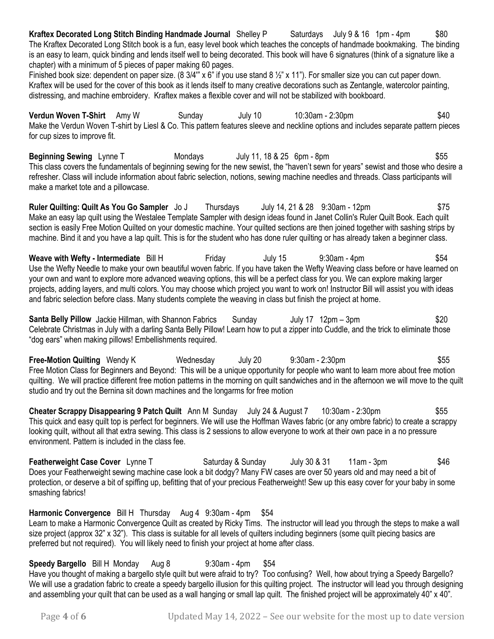**Kraftex Decorated Long Stitch Binding Handmade Journal** Shelley P Saturdays July 9 & 16 1pm - 4pm \$80 The Kraftex Decorated Long Stitch book is a fun, easy level book which teaches the concepts of handmade bookmaking. The binding is an easy to learn, quick binding and lends itself well to being decorated. This book will have 6 signatures (think of a signature like a chapter) with a minimum of 5 pieces of paper making 60 pages.

Finished book size: dependent on paper size. (8 3/4" x 6" if you use stand 8 ½" x 11"). For smaller size you can cut paper down. Kraftex will be used for the cover of this book as it lends itself to many creative decorations such as Zentangle, watercolor painting, distressing, and machine embroidery. Kraftex makes a flexible cover and will not be stabilized with bookboard.

**Verdun Woven T-Shirt** Amy W Sunday July 10 10:30am - 2:30pm \$40 Make the Verdun Woven T-shirt by Liesl & Co. This pattern features sleeve and neckline options and includes separate pattern pieces for cup sizes to improve fit.

**Beginning Sewing** Lynne T Mondays July 11, 18 & 25 form - 8pm This class covers the fundamentals of beginning sewing for the new sewist, the "haven't sewn for years" sewist and those who desire a refresher. Class will include information about fabric selection, notions, sewing machine needles and threads. Class participants will make a market tote and a pillowcase.

**Ruler Quilting: Quilt As You Go Sampler** Jo J Thursdays July 14, 21 & 28 9:30am - 12pm \$75 Make an easy lap quilt using the Westalee Template Sampler with design ideas found in Janet Collin's Ruler Quilt Book. Each quilt section is easily Free Motion Quilted on your domestic machine. Your quilted sections are then joined together with sashing strips by machine. Bind it and you have a lap quilt. This is for the student who has done ruler quilting or has already taken a beginner class.

**Weave with Wefty - Intermediate** Bill H Friday July 15 9:30am - 4pm \$54 Use the Wefty Needle to make your own beautiful woven fabric. If you have taken the Wefty Weaving class before or have learned on your own and want to explore more advanced weaving options, this will be a perfect class for you. We can explore making larger projects, adding layers, and multi colors. You may choose which project you want to work on! Instructor Bill will assist you with ideas and fabric selection before class. Many students complete the weaving in class but finish the project at home.

**Santa Belly Pillow** Jackie Hillman, with Shannon Fabrics Sunday July 17 12pm – 3pm Celebrate Christmas in July with a darling Santa Belly Pillow! Learn how to put a zipper into Cuddle, and the trick to eliminate those "dog ears" when making pillows! Embellishments required.

**Free-Motion Quilting** Wendy K Wednesday July 20 9:30am - 2:30pm \$55 Free Motion Class for Beginners and Beyond: This will be a unique opportunity for people who want to learn more about free motion quilting. We will practice different free motion patterns in the morning on quilt sandwiches and in the afternoon we will move to the quilt studio and try out the Bernina sit down machines and the longarms for free motion

**Cheater Scrappy Disappearing 9 Patch Quilt** Ann M Sunday July 24 & August 7 10:30am - 2:30pm \$55 This quick and easy quilt top is perfect for beginners. We will use the Hoffman Waves fabric (or any ombre fabric) to create a scrappy looking quilt, without all that extra sewing. This class is 2 sessions to allow everyone to work at their own pace in a no pressure environment. Pattern is included in the class fee.

**Featherweight Case Cover** Lynne T Saturday & Sunday July 30 & 31 11am - 3pm \$46 Does your Featherweight sewing machine case look a bit dodgy? Many FW cases are over 50 years old and may need a bit of protection, or deserve a bit of spiffing up, befitting that of your precious Featherweight! Sew up this easy cover for your baby in some smashing fabrics!

**Harmonic Convergence** Bill H Thursday Aug 4 9:30am - 4pm \$54 Learn to make a Harmonic Convergence Quilt as created by Ricky Tims. The instructor will lead you through the steps to make a wall size project (approx 32" x 32"). This class is suitable for all levels of quilters including beginners (some quilt piecing basics are preferred but not required). You will likely need to finish your project at home after class.

**Speedy Bargello** Bill H Monday Aug 8 9:30am - 4pm \$54 Have you thought of making a bargello style quilt but were afraid to try? Too confusing? Well, how about trying a Speedy Bargello? We will use a gradation fabric to create a speedy bargello illusion for this quilting project. The instructor will lead you through designing and assembling your quilt that can be used as a wall hanging or small lap quilt. The finished project will be approximately 40" x 40".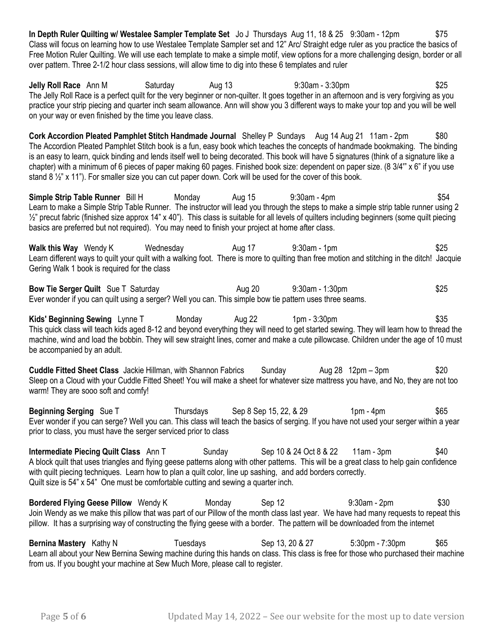**In Depth Ruler Quilting w/ Westalee Sampler Template Set** Jo J Thursdays Aug 11, 18 & 25 9:30am - 12pm \$75 Class will focus on learning how to use Westalee Template Sampler set and 12" Arc/ Straight edge ruler as you practice the basics of Free Motion Ruler Quilting. We will use each template to make a simple motif, view options for a more challenging design, border or all over pattern. Three 2-1/2 hour class sessions, will allow time to dig into these 6 templates and ruler

**Jelly Roll Race** Ann M Saturday Aug 13 9:30am - 3:30pm **\$25** \$25 The Jelly Roll Race is a perfect quilt for the very beginner or non-quilter. It goes together in an afternoon and is very forgiving as you practice your strip piecing and quarter inch seam allowance. Ann will show you 3 different ways to make your top and you will be well on your way or even finished by the time you leave class.

**Cork Accordion Pleated Pamphlet Stitch Handmade Journal** Shelley P Sundays Aug 14 Aug 21 11am - 2pm \$80 The Accordion Pleated Pamphlet Stitch book is a fun, easy book which teaches the concepts of handmade bookmaking. The binding is an easy to learn, quick binding and lends itself well to being decorated. This book will have 5 signatures (think of a signature like a chapter) with a minimum of 6 pieces of paper making 60 pages. Finished book size: dependent on paper size. (8 3/4'" x 6" if you use stand 8 ½" x 11"). For smaller size you can cut paper down. Cork will be used for the cover of this book.

**Simple Strip Table Runner** Bill H Monday Aug 15 9:30am - 4pm \$54 Learn to make a Simple Strip Table Runner. The instructor will lead you through the steps to make a simple strip table runner using 2  $\frac{1}{2}$ " precut fabric (finished size approx 14" x 40"). This class is suitable for all levels of quilters including beginners (some quilt piecing basics are preferred but not required). You may need to finish your project at home after class.

**Walk this Way** Wendy K Wednesday Aug 17 9:30am - 1pm \$25 Learn different ways to quilt your quilt with a walking foot. There is more to quilting than free motion and stitching in the ditch! Jacquie Gering Walk 1 book is required for the class

**Bow Tie Serger Quilt** Sue T Saturday **Aug 20** Aug 20 9:30am - 1:30pm **\$25** \$25 Ever wonder if you can quilt using a serger? Well you can. This simple bow tie pattern uses three seams.

**Kids' Beginning Sewing** Lynne T Monday Aug 22 1pm - 3:30pm \$35 This quick class will teach kids aged 8-12 and beyond everything they will need to get started sewing. They will learn how to thread the machine, wind and load the bobbin. They will sew straight lines, corner and make a cute pillowcase. Children under the age of 10 must be accompanied by an adult.

**Cuddle Fitted Sheet Class** Jackie Hillman, with Shannon Fabrics Sunday Aug 28 12pm – 3pm – \$20 Sleep on a Cloud with your Cuddle Fitted Sheet! You will make a sheet for whatever size mattress you have, and No, they are not too warm! They are sooo soft and comfy!

**Beginning Serging** Sue T Thursdays Sep 8 Sep 15, 22, & 29 1pm - 4pm  $$65$ Ever wonder if you can serge? Well you can. This class will teach the basics of serging. If you have not used your serger within a year prior to class, you must have the serger serviced prior to class

**Intermediate Piecing Quilt Class** Ann T Sunday Sep 10 & 24 Oct 8 & 22 11am - 3pm \$40 A block quilt that uses triangles and flying geese patterns along with other patterns. This will be a great class to help gain confidence with quilt piecing techniques. Learn how to plan a quilt color, line up sashing, and add borders correctly. Quilt size is 54" x 54" One must be comfortable cutting and sewing a quarter inch.

**Bordered Flying Geese Pillow** Wendy K Monday Sep 12 9:30am - 2pm \$30 Join Wendy as we make this pillow that was part of our Pillow of the month class last year. We have had many requests to repeat this pillow. It has a surprising way of constructing the flying geese with a border. The pattern will be downloaded from the internet

**Bernina Mastery** Kathy N Tuesdays Sep 13, 20 & 27 5:30pm - 7:30pm \$65 Learn all about your New Bernina Sewing machine during this hands on class. This class is free for those who purchased their machine from us. If you bought your machine at Sew Much More, please call to register.